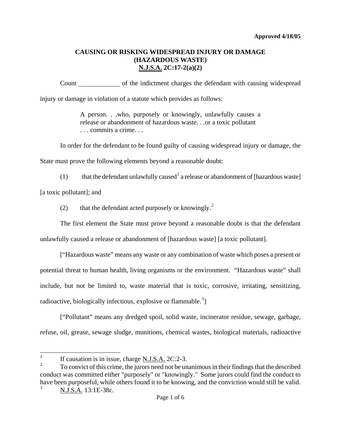Count of the indictment charges the defendant with causing widespread injury or damage in violation of a statute which provides as follows:

> A person. . .who, purposely or knowingly, unlawfully causes a release or abandonment of hazardous waste. . .or a toxic pollutant . . . commits a crime. . .

In order for the defendant to be found guilty of causing widespread injury or damage, the State must prove the following elements beyond a reasonable doubt:

([1](#page-0-0)) that the defendant unlawfully caused<sup>1</sup> a release or abandonment of [hazardous waste]

[a toxic pollutant]; and

([2](#page-0-1)) that the defendant acted purposely or knowingly.<sup>2</sup>

The first element the State must prove beyond a reasonable doubt is that the defendant

unlawfully caused a release or abandonment of [hazardous waste] [a toxic pollutant].

["Hazardous waste" means any waste or any combination of waste which poses a present or potential threat to human health, living organisms or the environment. "Hazardous waste" shall include, but not be limited to, waste material that is toxic, corrosive, irritating, sensitizing, radioactive, biologically infectious, explosive or flammable.<sup>[3](#page-0-2)</sup>]

["Pollutant" means any dredged spoil, solid waste, incinerator residue, sewage, garbage, refuse, oil, grease, sewage sludge, munitions, chemical wastes, biological materials, radioactive

 $\frac{1}{1}$ If causation is in issue, charge N.J.S.A. 2C:2-3.

<span id="page-0-3"></span><span id="page-0-2"></span><span id="page-0-1"></span><span id="page-0-0"></span><sup>2</sup> To convict of this crime, the jurors need not be unanimous in their findings that the described conduct was committed either "purposely" or "knowingly." Some jurors could find the conduct to have been purposeful, while others found it to be knowing, and the conviction would still be valid. 3 N.J.S.A. 13:1E-38c.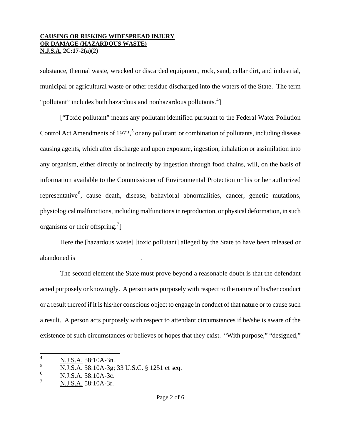substance, thermal waste, wrecked or discarded equipment, rock, sand, cellar dirt, and industrial, municipal or agricultural waste or other residue discharged into the waters of the State. The term "pollutant" includes both hazardous and nonhazardous pollutants.<sup>[4](#page-0-3)</sup>]

["Toxic pollutant" means any pollutant identified pursuant to the Federal Water Pollution Control Act Amendments of 1972,<sup>[5](#page-1-0)</sup> or any pollutant or combination of pollutants, including disease causing agents, which after discharge and upon exposure, ingestion, inhalation or assimilation into any organism, either directly or indirectly by ingestion through food chains, will, on the basis of information available to the Commissioner of Environmental Protection or his or her authorized representative<sup>[6](#page-1-1)</sup>, cause death, disease, behavioral abnormalities, cancer, genetic mutations, physiological malfunctions, including malfunctions in reproduction, or physical deformation, in such organisms or their offspring. $^{7}$  $^{7}$  $^{7}$ ]

Here the [hazardous waste] [toxic pollutant] alleged by the State to have been released or abandoned is .

The second element the State must prove beyond a reasonable doubt is that the defendant acted purposely or knowingly. A person acts purposely with respect to the nature of his/her conduct or a result thereof if it is his/her conscious object to engage in conduct of that nature or to cause such a result. A person acts purposely with respect to attendant circumstances if he/she is aware of the existence of such circumstances or believes or hopes that they exist. "With purpose," "designed,"

 $\frac{1}{4}$ N.J.S.A. 58:10A-3n.

<span id="page-1-0"></span><sup>5</sup> N.J.S.A. 58:10A-3g; 33 U.S.C. § 1251 et seq.

<span id="page-1-3"></span><span id="page-1-1"></span><sup>6</sup> N.J.S.A. 58:10A-3c.

<span id="page-1-2"></span><sup>7</sup> N.J.S.A. 58:10A-3r.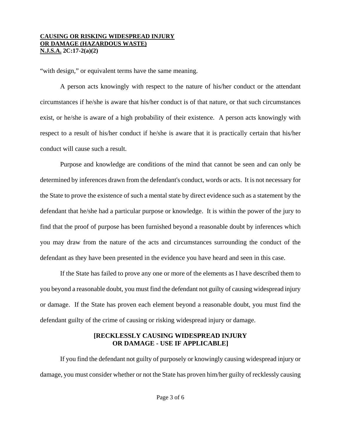"with design," or equivalent terms have the same meaning.

A person acts knowingly with respect to the nature of his/her conduct or the attendant circumstances if he/she is aware that his/her conduct is of that nature, or that such circumstances exist, or he/she is aware of a high probability of their existence. A person acts knowingly with respect to a result of his/her conduct if he/she is aware that it is practically certain that his/her conduct will cause such a result.

Purpose and knowledge are conditions of the mind that cannot be seen and can only be determined by inferences drawn from the defendant's conduct, words or acts. It is not necessary for the State to prove the existence of such a mental state by direct evidence such as a statement by the defendant that he/she had a particular purpose or knowledge. It is within the power of the jury to find that the proof of purpose has been furnished beyond a reasonable doubt by inferences which you may draw from the nature of the acts and circumstances surrounding the conduct of the defendant as they have been presented in the evidence you have heard and seen in this case.

If the State has failed to prove any one or more of the elements as I have described them to you beyond a reasonable doubt, you must find the defendant not guilty of causing widespread injury or damage. If the State has proven each element beyond a reasonable doubt, you must find the defendant guilty of the crime of causing or risking widespread injury or damage.

## **[RECKLESSLY CAUSING WIDESPREAD INJURY OR DAMAGE - USE IF APPLICABLE]**

If you find the defendant not guilty of purposely or knowingly causing widespread injury or damage, you must consider whether or not the State has proven him/her guilty of recklessly causing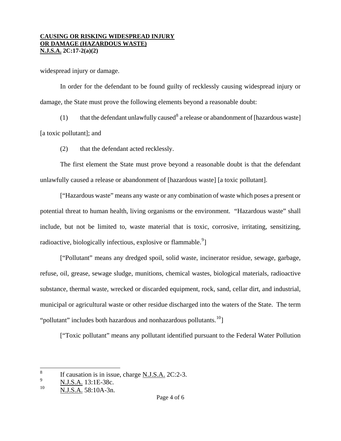widespread injury or damage.

In order for the defendant to be found guilty of recklessly causing widespread injury or damage, the State must prove the following elements beyond a reasonable doubt:

(1) that the defendant unlawfully caused<sup>[8](#page-1-3)</sup> a release or abandonment of [hazardous waste] [a toxic pollutant]; and

(2) that the defendant acted recklessly.

The first element the State must prove beyond a reasonable doubt is that the defendant unlawfully caused a release or abandonment of [hazardous waste] [a toxic pollutant].

["Hazardous waste" means any waste or any combination of waste which poses a present or potential threat to human health, living organisms or the environment. "Hazardous waste" shall include, but not be limited to, waste material that is toxic, corrosive, irritating, sensitizing, radioactive, biologically infectious, explosive or flammable.<sup>[9](#page-3-0)</sup>]

["Pollutant" means any dredged spoil, solid waste, incinerator residue, sewage, garbage, refuse, oil, grease, sewage sludge, munitions, chemical wastes, biological materials, radioactive substance, thermal waste, wrecked or discarded equipment, rock, sand, cellar dirt, and industrial, municipal or agricultural waste or other residue discharged into the waters of the State. The term "pollutant" includes both hazardous and nonhazardous pollutants. $10$ ]

["Toxic pollutant" means any pollutant identified pursuant to the Federal Water Pollution

<span id="page-3-2"></span> 8 If causation is in issue, charge N.J.S.A. 2C:2-3.

<span id="page-3-0"></span><sup>9</sup>  $\frac{\text{N.J.S.A.}}{N \text{ L.S.A.}}$  13:1E-38c.

<span id="page-3-1"></span>N.J.S.A. 58:10A-3n.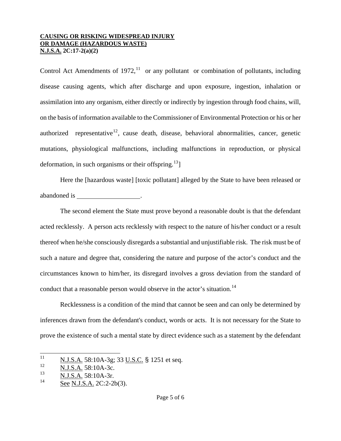Control Act Amendments of 1972,<sup>[11](#page-3-2)</sup> or any pollutant or combination of pollutants, including disease causing agents, which after discharge and upon exposure, ingestion, inhalation or assimilation into any organism, either directly or indirectly by ingestion through food chains, will, on the basis of information available to the Commissioner of Environmental Protection or his or her authorized representative<sup>[12](#page-4-0)</sup>, cause death, disease, behavioral abnormalities, cancer, genetic mutations, physiological malfunctions, including malfunctions in reproduction, or physical deformation, in such organisms or their offspring.<sup>[13](#page-4-1)</sup>]

Here the [hazardous waste] [toxic pollutant] alleged by the State to have been released or abandoned is .

The second element the State must prove beyond a reasonable doubt is that the defendant acted recklessly. A person acts recklessly with respect to the nature of his/her conduct or a result thereof when he/she consciously disregards a substantial and unjustifiable risk. The risk must be of such a nature and degree that, considering the nature and purpose of the actor's conduct and the circumstances known to him/her, its disregard involves a gross deviation from the standard of conduct that a reasonable person would observe in the actor's situation.<sup>[14](#page-4-2)</sup>

Recklessness is a condition of the mind that cannot be seen and can only be determined by inferences drawn from the defendant's conduct, words or acts. It is not necessary for the State to prove the existence of such a mental state by direct evidence such as a statement by the defendant

<sup>11</sup>  $\frac{11}{12}$  N.J.S.A. 58:10A-3g; 33 <u>U.S.C.</u> § 1251 et seq.

<span id="page-4-0"></span> $\frac{12}{13}$  N.J.S.A. 58:10A-3c.

<span id="page-4-1"></span> $\frac{13}{14}$  N.J.S.A. 58:10A-3r.

<span id="page-4-2"></span>See N.J.S.A. 2C:2-2b(3).